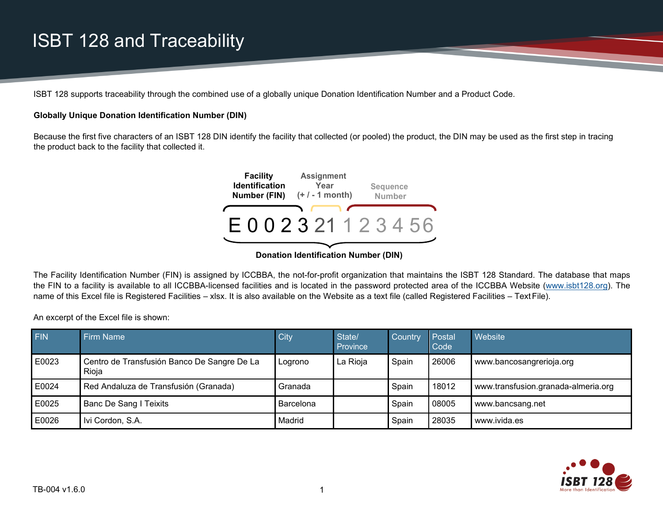### ISBT 128 and Traceability

ISBT 128 supports traceability through the combined use of a globally unique Donation Identification Number and a Product Code.

#### **Globally Unique Donation Identification Number (DIN)**

Because the first five characters of an ISBT 128 DIN identify the facility that collected (or pooled) the product, the DIN may be used as the first step in tracing the product back to the facility that collected it.



**Donation Identification Number (DIN)**

The Facility Identification Number (FIN) is assigned by ICCBBA, the not-for-profit organization that maintains the ISBT 128 Standard. The database that maps the FIN to a facility is available to all ICCBBA-licensed facilities and is located in the password protected area of the ICCBBA Website [\(www.isbt128.org\)](http://www.isbt128.org/). The name of this Excel file is Registered Facilities – xlsx. It is also available on the Website as a text file (called Registered Facilities – Text File).

An excerpt of the Excel file is shown:

| FIN   | <b>Firm Name</b>                                     | City      | State/<br>Province | Country | Postal<br>Code | <b>Website</b>                      |
|-------|------------------------------------------------------|-----------|--------------------|---------|----------------|-------------------------------------|
| E0023 | Centro de Transfusión Banco De Sangre De La<br>Rioja | Logrono   | La Rioja           | Spain   | 26006          | www.bancosangrerioja.org            |
| E0024 | Red Andaluza de Transfusión (Granada)                | Granada   |                    | Spain   | 18012          | www.transfusion.granada-almeria.org |
| E0025 | Banc De Sang I Teixits                               | Barcelona |                    | Spain   | 08005          | www.bancsang.net                    |
| E0026 | Ivi Cordon, S.A.                                     | Madrid    |                    | Spain   | 28035          | www.ivida.es                        |

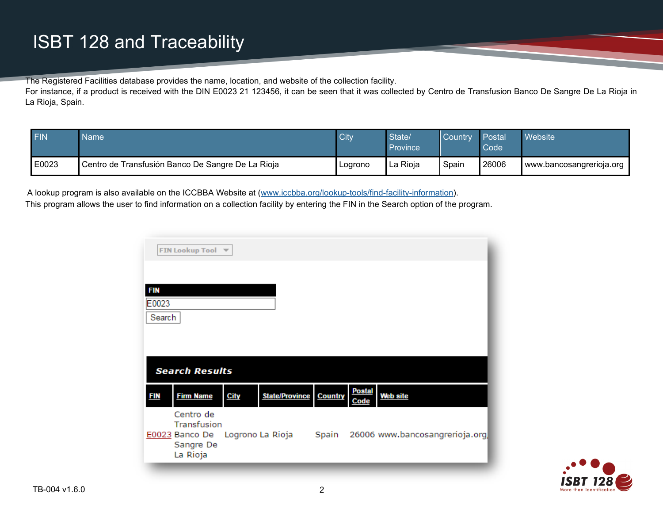The Registered Facilities database provides the name, location, and website of the collection facility.

For instance, if a product is received with the DIN E0023 21 123456, it can be seen that it was collected by Centro de Transfusion Banco De Sangre De La Rioja in La Rioja, Spain.

| <b>FIN</b> | <b>Name</b>                                       | City    | State/<br>Province | <b>Country</b> | Postal<br>Code | Website                  |
|------------|---------------------------------------------------|---------|--------------------|----------------|----------------|--------------------------|
| E0023      | Centro de Transfusión Banco De Sangre De La Rioja | Loarono | La Rioja           | Spain          | 26006          | www.bancosangrerioja.org |

A lookup program is also available on the ICCBBA Website at [\(www.iccbba.org/lookup-tools/find-facility-information\)](http://www.iccbba.org/lookup-tools/find-facility-information).

This program allows the user to find information on a collection facility by entering the FIN in the Search option of the program.

|                 | FIN Lookup Tool $\blacktriangledown$ |             |                               |                       |                 |
|-----------------|--------------------------------------|-------------|-------------------------------|-----------------------|-----------------|
| <b>FIN</b>      |                                      |             |                               |                       |                 |
| E0023<br>Search |                                      |             |                               |                       |                 |
|                 |                                      |             |                               |                       |                 |
|                 | <b>Search Results</b>                |             |                               |                       |                 |
| <b>FIN</b>      | <b>Firm Name</b>                     | <b>City</b> | <b>State/Province Country</b> | <b>Postal</b><br>Code | <b>Web site</b> |
|                 |                                      |             |                               |                       |                 |
|                 | Centro de<br>Transfusion             |             |                               |                       |                 |

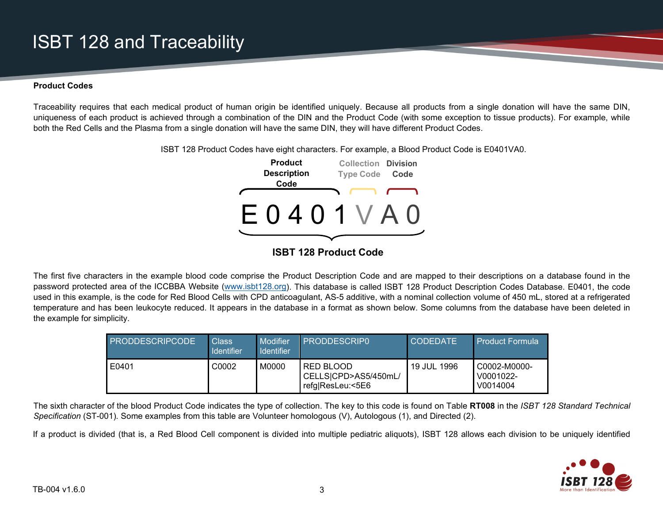## **ISBT 128 and Traceability**

#### **Product Codes**

Traceability requires that each medical product of human origin be identified uniquely. Because all products from a single donation will have the same DIN, uniqueness of each product is achieved through a combination of the DIN and the Product Code (with some exception to tissue products). For example, while both the Red Cells and the Plasma from a single donation will have the same DIN, they will have different Product Codes.

> **Product Description Code Collection Division Type Code Code** E 0 4 0 1 V A 0

ISBT 128 Product Codes have eight characters. For example, a Blood Product Code is E0401VA0.

### **ISBT 128 Product Code**

The first five characters in the example blood code comprise the Product Description Code and are mapped to their descriptions on a database found in the password protected area of the ICCBBA Website [\(www.isbt128.org\)](http://www.isbt128.org/). This database is called ISBT 128 Product Description Codes Database. E0401, the code used in this example, is the code for Red Blood Cells with CPD anticoagulant, AS-5 additive, with a nominal collection volume of 450 mL, stored at a refrigerated temperature and has been leukocyte reduced. It appears in the database in a format as shown below. Some columns from the database have been deleted in the example for simplicity.

| <b>PRODDESCRIPCODE</b> | <b>Class</b><br><b>Identifier</b> | Modifier<br><b>Identifier</b> | <b>PRODDESCRIPO</b>                                          | <b>CODEDATE</b> | <b>Product Formula</b>                |
|------------------------|-----------------------------------|-------------------------------|--------------------------------------------------------------|-----------------|---------------------------------------|
| E0401                  | C0002                             | M0000                         | <b>RED BLOOD</b><br>CELLS CPD>AS5/450mL/<br>refg ResLeu:<5E6 | 19 JUL 1996     | C0002-M0000-<br>V0001022-<br>V0014004 |

The sixth character of the blood Product Code indicates the type of collection. The key to this code is found on Table **RT008** in the *ISBT 128 Standard Technical Specification* (ST-001)*.* Some examples from this table are Volunteer homologous (V), Autologous (1), and Directed (2).

If a product is divided (that is, a Red Blood Cell component is divided into multiple pediatric aliquots), ISBT 128 allows each division to be uniquely identified

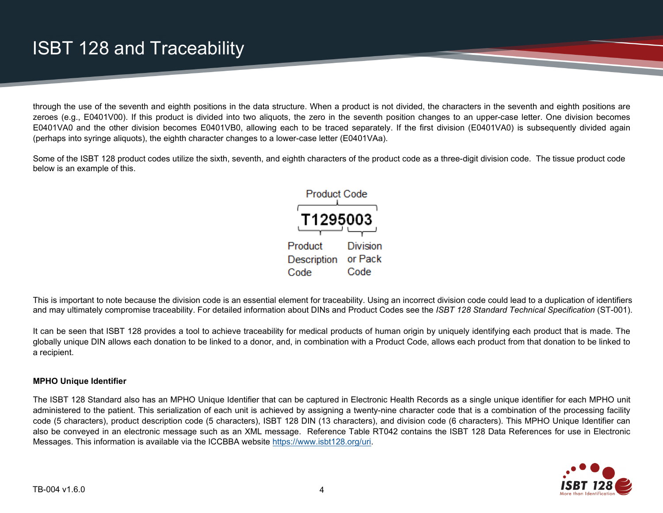through the use of the seventh and eighth positions in the data structure. When a product is not divided, the characters in the seventh and eighth positions are zeroes (e.g., E0401V00). If this product is divided into two aliquots, the zero in the seventh position changes to an upper-case letter. One division becomes E0401VA0 and the other division becomes E0401VB0, allowing each to be traced separately. If the first division (E0401VA0) is subsequently divided again (perhaps into syringe aliquots), the eighth character changes to a lower-case letter (E0401VAa).

Some of the ISBT 128 product codes utilize the sixth, seventh, and eighth characters of the product code as a three-digit division code. The tissue product code below is an example of this.



This is important to note because the division code is an essential element for traceability. Using an incorrect division code could lead to a duplication of identifiers and may ultimately compromise traceability. For detailed information about DINs and Product Codes see the *ISBT 128 Standard Technical Specification* (ST-001).

It can be seen that ISBT 128 provides a tool to achieve traceability for medical products of human origin by uniquely identifying each product that is made. The globally unique DIN allows each donation to be linked to a donor, and, in combination with a Product Code, allows each product from that donation to be linked to a recipient.

#### **MPHO Unique Identifier**

The ISBT 128 Standard also has an MPHO Unique Identifier that can be captured in Electronic Health Records as a single unique identifier for each MPHO unit administered to the patient. This serialization of each unit is achieved by assigning a twenty-nine character code that is a combination of the processing facility code (5 characters), product description code (5 characters), ISBT 128 DIN (13 characters), and division code (6 characters). This MPHO Unique Identifier can also be conveyed in an electronic message such as an XML message. Reference Table RT042 contains the ISBT 128 Data References for use in Electronic Messages. This information is available via the ICCBBA website [https://www.isbt128.org/uri.](https://www.isbt128.org/uri)